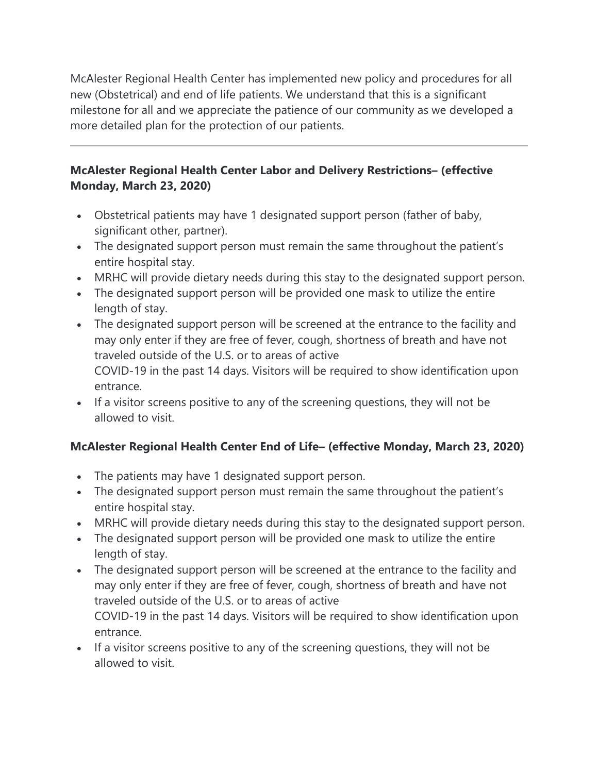McAlester Regional Health Center has implemented new policy and procedures for all new (Obstetrical) and end of life patients. We understand that this is a significant milestone for all and we appreciate the patience of our community as we developed a more detailed plan for the protection of our patients.

## **McAlester Regional Health Center Labor and Delivery Restrictions– (effective Monday, March 23, 2020)**

- Obstetrical patients may have 1 designated support person (father of baby, significant other, partner).
- The designated support person must remain the same throughout the patient's entire hospital stay.
- MRHC will provide dietary needs during this stay to the designated support person.
- The designated support person will be provided one mask to utilize the entire length of stay.
- The designated support person will be screened at the entrance to the facility and may only enter if they are free of fever, cough, shortness of breath and have not traveled outside of the U.S. or to areas of active COVID-19 in the past 14 days. Visitors will be required to show identification upon entrance.
- If a visitor screens positive to any of the screening questions, they will not be allowed to visit.

## **McAlester Regional Health Center End of Life– (effective Monday, March 23, 2020)**

- The patients may have 1 designated support person.
- The designated support person must remain the same throughout the patient's entire hospital stay.
- MRHC will provide dietary needs during this stay to the designated support person.
- The designated support person will be provided one mask to utilize the entire length of stay.
- The designated support person will be screened at the entrance to the facility and may only enter if they are free of fever, cough, shortness of breath and have not traveled outside of the U.S. or to areas of active COVID-19 in the past 14 days. Visitors will be required to show identification upon entrance.
- If a visitor screens positive to any of the screening questions, they will not be allowed to visit.